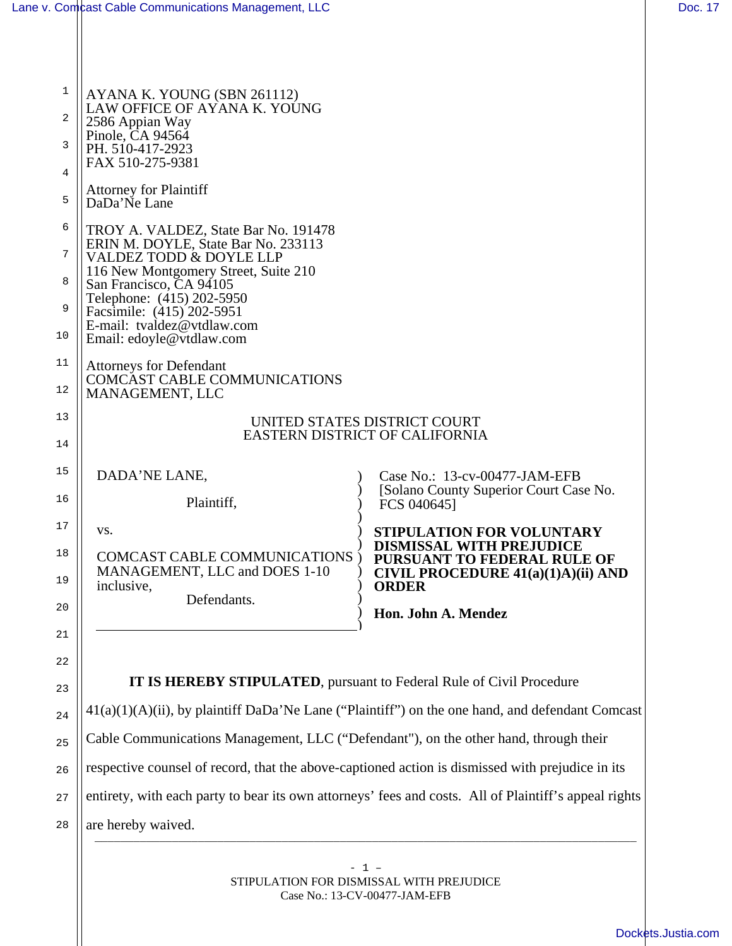| 1<br>2                 | AYANA K. YOUNG (SBN 261112)<br>LAW OFFICE OF AYANA K. YOUNG<br>2586 Appian Way                                                                                                                                                                                                                           |                                                                                                                                                                                   |  |
|------------------------|----------------------------------------------------------------------------------------------------------------------------------------------------------------------------------------------------------------------------------------------------------------------------------------------------------|-----------------------------------------------------------------------------------------------------------------------------------------------------------------------------------|--|
| 3<br>4                 | Pinole, CA 94564<br>PH. 510-417-2923<br>FAX 510-275-9381                                                                                                                                                                                                                                                 |                                                                                                                                                                                   |  |
| 5                      | <b>Attorney for Plaintiff</b><br>DaDa'Ne Lane                                                                                                                                                                                                                                                            |                                                                                                                                                                                   |  |
| 6<br>7<br>8<br>9<br>10 | TROY A. VALDEZ, State Bar No. 191478<br>ERIN M. DOYLE, State Bar No. 233113<br><b>VALDEZ TODD &amp; DOYLE LLP</b><br>116 New Montgomery Street, Suite 210<br>San Francisco, CA 94105<br>Telephone: (415) 202-5950<br>Facsimile: (415) 202-5951<br>E-mail: tvaldez@vtdlaw.com<br>Email: edoyle@vtdlaw.com |                                                                                                                                                                                   |  |
| 11<br>12               | <b>Attorneys for Defendant</b><br><b>COMCAST CABLE COMMUNICATIONS</b><br>MANAGEMENT, LLC                                                                                                                                                                                                                 |                                                                                                                                                                                   |  |
| 13<br>14               | UNITED STATES DISTRICT COURT<br><b>EASTERN DISTRICT OF CALIFORNIA</b>                                                                                                                                                                                                                                    |                                                                                                                                                                                   |  |
| 15<br>16               | DADA'NE LANE,<br>Plaintiff,                                                                                                                                                                                                                                                                              | Case No.: 13-cv-00477-JAM-EFB<br>[Solano County Superior Court Case No.<br>FCS 040645]                                                                                            |  |
| 17<br>18<br>19<br>20   | VS.<br><b>COMCAST CABLE COMMUNICATIONS</b><br>MANAGEMENT, LLC and DOES 1-10<br>inclusive,<br>Defendants.                                                                                                                                                                                                 | <b>STIPULATION FOR VOLUNTARY</b><br><b>DISMISSAL WITH PREJUDICE</b><br>PURSUANT TO FEDERAL RULE OF<br>CIVIL PROCEDURE $41(a)(1)A)(ii)$ AND<br><b>ORDER</b><br>Hon. John A. Mendez |  |
| 21<br>22<br>23         | IT IS HEREBY STIPULATED, pursuant to Federal Rule of Civil Procedure                                                                                                                                                                                                                                     |                                                                                                                                                                                   |  |
| 24                     |                                                                                                                                                                                                                                                                                                          | $41(a)(1)(A)(ii)$ , by plaintiff DaDa'Ne Lane ("Plaintiff") on the one hand, and defendant Comcast                                                                                |  |
| 25                     | Cable Communications Management, LLC ("Defendant"), on the other hand, through their                                                                                                                                                                                                                     |                                                                                                                                                                                   |  |
| 26                     | respective counsel of record, that the above-captioned action is dismissed with prejudice in its                                                                                                                                                                                                         |                                                                                                                                                                                   |  |
| 27                     | entirety, with each party to bear its own attorneys' fees and costs. All of Plaintiff's appeal rights                                                                                                                                                                                                    |                                                                                                                                                                                   |  |

28 are hereby waived.

> - 1 – STIPULATION FOR DISMISSAL WITH PREJUDICE Case No.: 13-CV-00477-JAM-EFB

\_\_\_\_\_\_\_\_\_\_\_\_\_\_\_\_\_\_\_\_\_\_\_\_\_\_\_\_\_\_\_\_\_\_\_\_\_\_\_\_\_\_\_\_\_\_\_\_\_\_\_\_\_\_\_\_\_\_\_\_\_\_\_\_\_\_\_\_\_\_\_\_\_\_\_\_\_\_\_\_\_\_\_\_